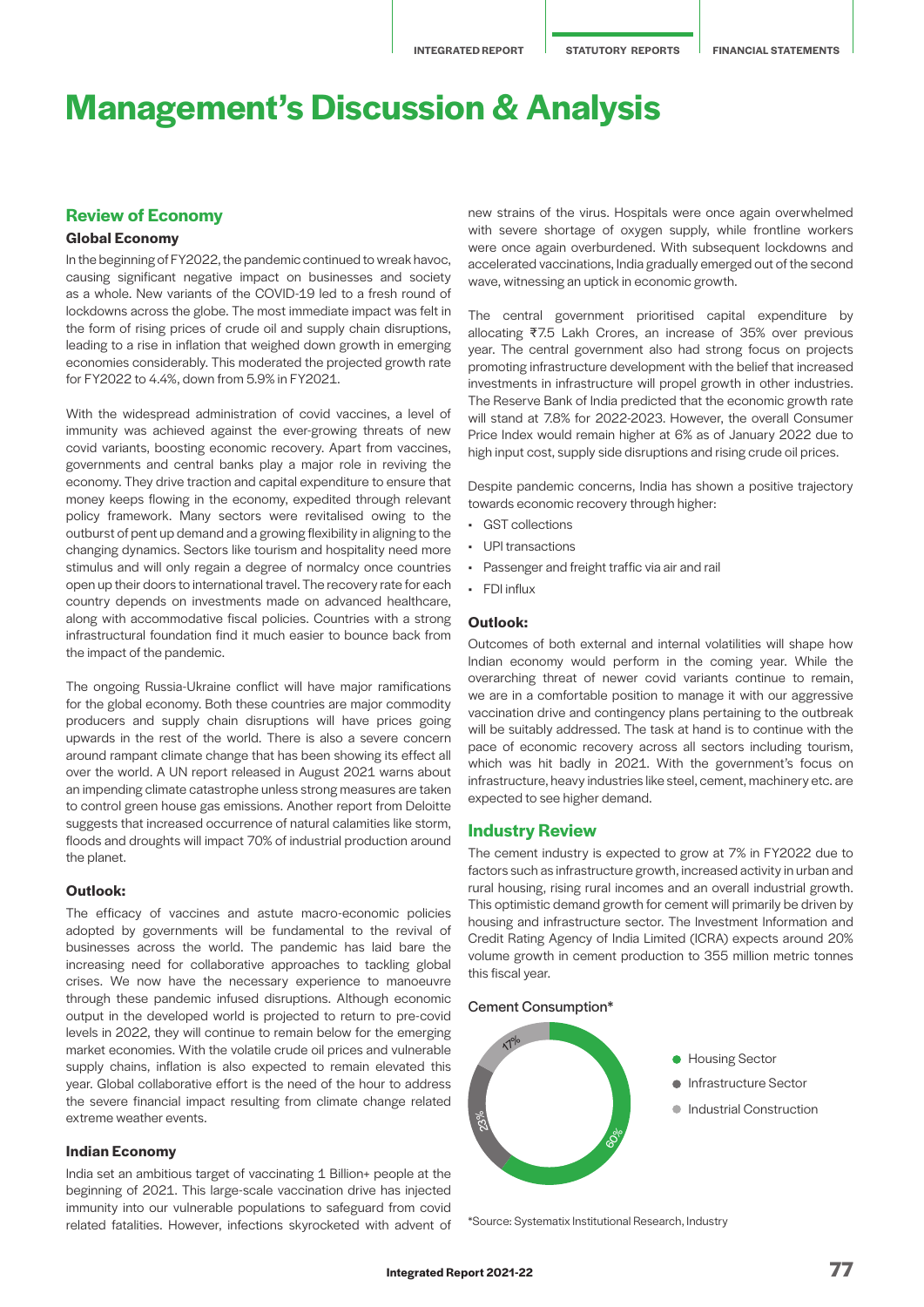# **Management's Discussion & Analysis**

## **Review of Economy**

### **Global Economy**

In the beginning of FY2022, the pandemic continued to wreak havoc, causing significant negative impact on businesses and society as a whole. New variants of the COVID-19 led to a fresh round of lockdowns across the globe. The most immediate impact was felt in the form of rising prices of crude oil and supply chain disruptions, leading to a rise in inflation that weighed down growth in emerging economies considerably. This moderated the projected growth rate for FY2022 to 4.4%, down from 5.9% in FY2021.

With the widespread administration of covid vaccines, a level of immunity was achieved against the ever-growing threats of new covid variants, boosting economic recovery. Apart from vaccines, governments and central banks play a major role in reviving the economy. They drive traction and capital expenditure to ensure that money keeps flowing in the economy, expedited through relevant policy framework. Many sectors were revitalised owing to the outburst of pent up demand and a growing flexibility in aligning to the changing dynamics. Sectors like tourism and hospitality need more stimulus and will only regain a degree of normalcy once countries open up their doors to international travel. The recovery rate for each country depends on investments made on advanced healthcare, along with accommodative fiscal policies. Countries with a strong infrastructural foundation find it much easier to bounce back from the impact of the pandemic.

The ongoing Russia-Ukraine conflict will have major ramifications for the global economy. Both these countries are major commodity producers and supply chain disruptions will have prices going upwards in the rest of the world. There is also a severe concern around rampant climate change that has been showing its effect all over the world. A UN report released in August 2021 warns about an impending climate catastrophe unless strong measures are taken to control green house gas emissions. Another report from Deloitte suggests that increased occurrence of natural calamities like storm, floods and droughts will impact 70% of industrial production around the planet.

### **Outlook:**

The efficacy of vaccines and astute macro-economic policies adopted by governments will be fundamental to the revival of businesses across the world. The pandemic has laid bare the increasing need for collaborative approaches to tackling global crises. We now have the necessary experience to manoeuvre through these pandemic infused disruptions. Although economic output in the developed world is projected to return to pre-covid levels in 2022, they will continue to remain below for the emerging market economies. With the volatile crude oil prices and vulnerable supply chains, inflation is also expected to remain elevated this year. Global collaborative effort is the need of the hour to address the severe financial impact resulting from climate change related extreme weather events.

### **Indian Economy**

India set an ambitious target of vaccinating 1 Billion+ people at the beginning of 2021. This large-scale vaccination drive has injected immunity into our vulnerable populations to safeguard from covid related fatalities. However, infections skyrocketed with advent of new strains of the virus. Hospitals were once again overwhelmed with severe shortage of oxygen supply, while frontline workers were once again overburdened. With subsequent lockdowns and accelerated vaccinations, India gradually emerged out of the second wave, witnessing an uptick in economic growth.

The central government prioritised capital expenditure by allocating ₹7.5 Lakh Crores, an increase of 35% over previous year. The central government also had strong focus on projects promoting infrastructure development with the belief that increased investments in infrastructure will propel growth in other industries. The Reserve Bank of India predicted that the economic growth rate will stand at 7.8% for 2022-2023. However, the overall Consumer Price Index would remain higher at 6% as of January 2022 due to high input cost, supply side disruptions and rising crude oil prices.

Despite pandemic concerns, India has shown a positive trajectory towards economic recovery through higher:

- GST collections
- UPI transactions
- Passenger and freight traffic via air and rail
- FDI influx

### **Outlook:**

Outcomes of both external and internal volatilities will shape how Indian economy would perform in the coming year. While the overarching threat of newer covid variants continue to remain, we are in a comfortable position to manage it with our aggressive vaccination drive and contingency plans pertaining to the outbreak will be suitably addressed. The task at hand is to continue with the pace of economic recovery across all sectors including tourism, which was hit badly in 2021. With the government's focus on infrastructure, heavy industries like steel, cement, machinery etc. are expected to see higher demand.

#### **Industry Review**

The cement industry is expected to grow at 7% in FY2022 due to factors such as infrastructure growth, increased activity in urban and rural housing, rising rural incomes and an overall industrial growth. This optimistic demand growth for cement will primarily be driven by housing and infrastructure sector. The Investment Information and Credit Rating Agency of India Limited (ICRA) expects around 20% volume growth in cement production to 355 million metric tonnes this fiscal year.

Cement Consumption\*



\*Source: Systematix Institutional Research, Industry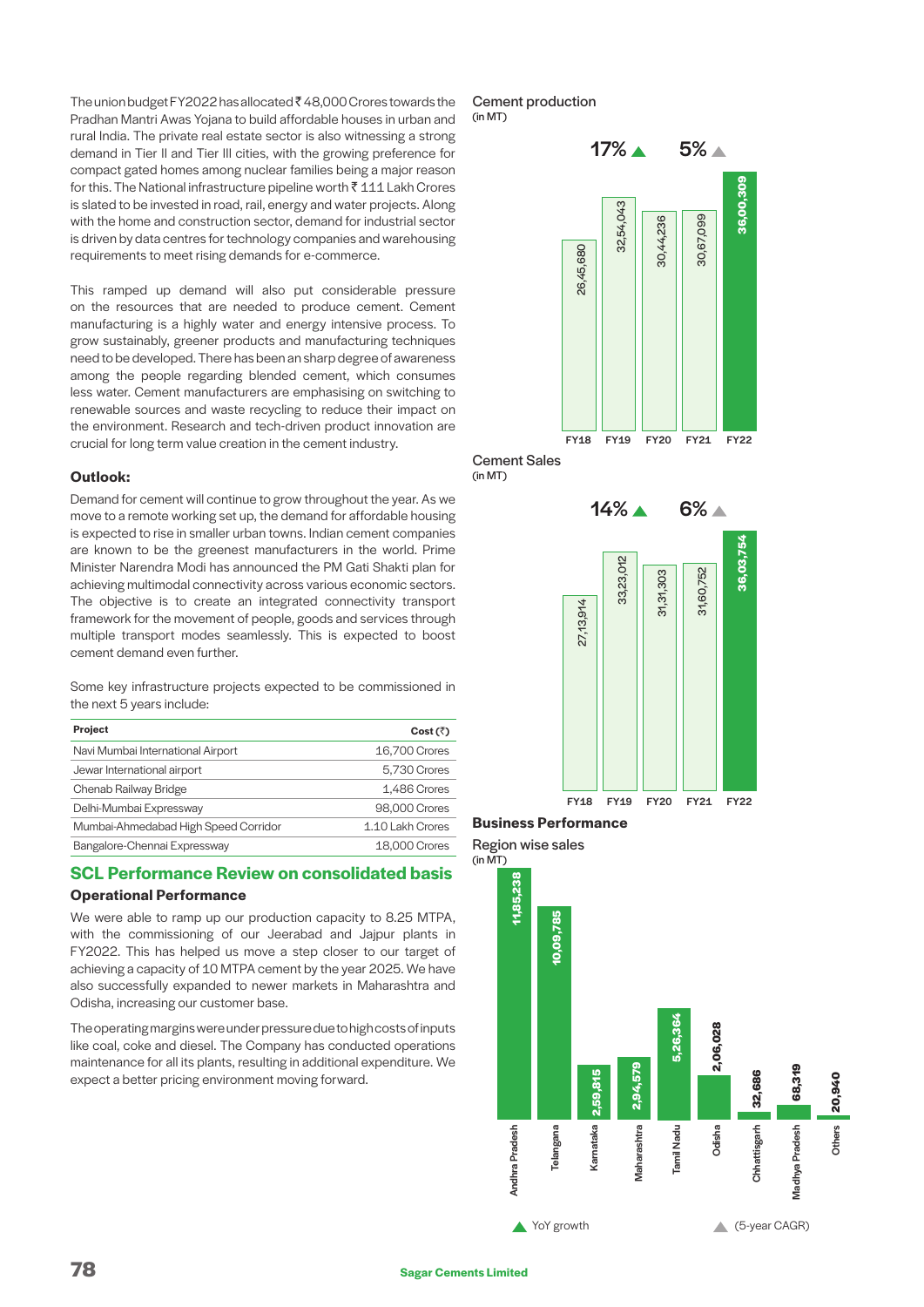The union budget FY2022 has allocated  $\bar{\tau}$  48,000 Crores towards the Pradhan Mantri Awas Yojana to build affordable houses in urban and rural India. The private real estate sector is also witnessing a strong demand in Tier II and Tier III cities, with the growing preference for compact gated homes among nuclear families being a major reason for this. The National infrastructure pipeline worth  $\bar{\tau}$  111 Lakh Crores is slated to be invested in road, rail, energy and water projects. Along with the home and construction sector, demand for industrial sector is driven by data centres for technology companies and warehousing requirements to meet rising demands for e-commerce.

This ramped up demand will also put considerable pressure on the resources that are needed to produce cement. Cement manufacturing is a highly water and energy intensive process. To grow sustainably, greener products and manufacturing techniques need to be developed. There has been an sharp degree of awareness among the people regarding blended cement, which consumes less water. Cement manufacturers are emphasising on switching to renewable sources and waste recycling to reduce their impact on the environment. Research and tech-driven product innovation are crucial for long term value creation in the cement industry.

### **Outlook:**

Demand for cement will continue to grow throughout the year. As we move to a remote working set up, the demand for affordable housing is expected to rise in smaller urban towns. Indian cement companies are known to be the greenest manufacturers in the world. Prime Minister Narendra Modi has announced the PM Gati Shakti plan for achieving multimodal connectivity across various economic sectors. The objective is to create an integrated connectivity transport framework for the movement of people, goods and services through multiple transport modes seamlessly. This is expected to boost cement demand even further.

Some key infrastructure projects expected to be commissioned in the next 5 years include:

| <b>Project</b>                       | Cost $(\bar{z})$ |
|--------------------------------------|------------------|
| Navi Mumbai International Airport    | 16,700 Crores    |
| Jewar International airport          | 5,730 Crores     |
| Chenab Railway Bridge                | 1,486 Crores     |
| Delhi-Mumbai Expressway              | 98,000 Crores    |
| Mumbai-Ahmedabad High Speed Corridor | 1.10 Lakh Crores |
| Bangalore-Chennai Expressway         | 18,000 Crores    |

# **SCL Performance Review on consolidated basis Operational Performance**

We were able to ramp up our production capacity to 8.25 MTPA, with the commissioning of our Jeerabad and Jajpur plants in FY2022. This has helped us move a step closer to our target of achieving a capacity of 10 MTPA cement by the year 2025. We have also successfully expanded to newer markets in Maharashtra and Odisha, increasing our customer base.

The operating margins were under pressure due to high costs of inputs like coal, coke and diesel. The Company has conducted operations maintenance for all its plants, resulting in additional expenditure. We expect a better pricing environment moving forward.

Cement production (in MT)



Cement Sales (in MT)



### **Business Performance**

Region wise sales

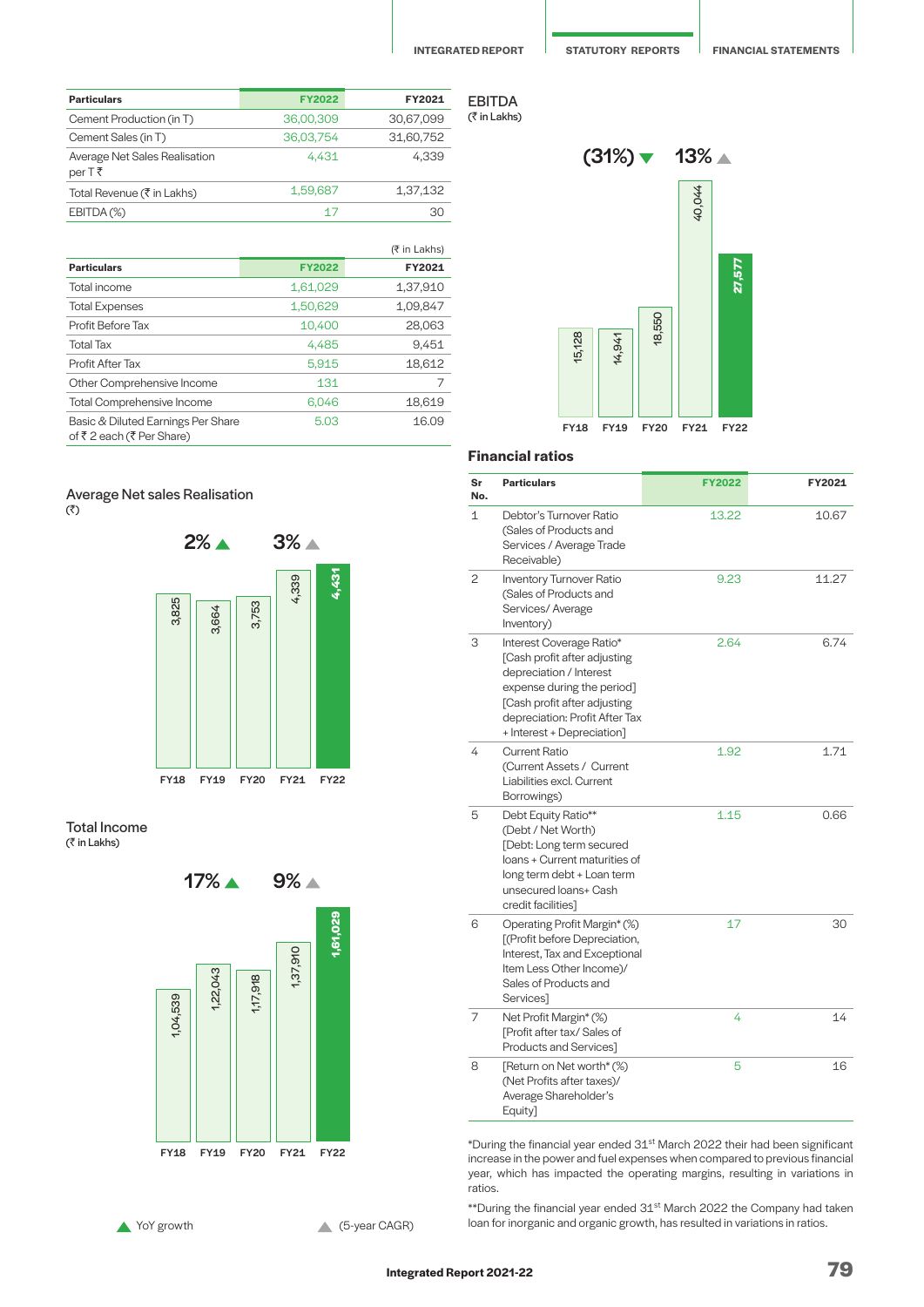| <b>Particulars</b>                      | <b>FY2022</b> | FY2021    |
|-----------------------------------------|---------------|-----------|
| Cement Production (in T)                | 36,00,309     | 30,67,099 |
| Cement Sales (in T)                     | 36.03.754     | 31,60,752 |
| Average Net Sales Realisation<br>per T₹ | 4.431         | 4.339     |
| Total Revenue (₹ in Lakhs)              | 1,59,687      | 1,37,132  |
| EBITDA(%)                               | 17            | 30        |

|                                                                |               | $(7 \in \mathsf{In}$ Lakhs) |
|----------------------------------------------------------------|---------------|-----------------------------|
| <b>Particulars</b>                                             | <b>FY2022</b> | FY2021                      |
| Total income                                                   | 1,61,029      | 1,37,910                    |
| <b>Total Expenses</b>                                          | 1,50,629      | 1,09,847                    |
| Profit Before Tax                                              | 10.400        | 28,063                      |
| <b>Total Tax</b>                                               | 4,485         | 9,451                       |
| Profit After Tax                                               | 5,915         | 18,612                      |
| Other Comprehensive Income                                     | 131           | 7                           |
| <b>Total Comprehensive Income</b>                              | 6.046         | 18,619                      |
| Basic & Diluted Earnings Per Share<br>of ₹2 each (₹ Per Share) | 5.03          | 16.09                       |

### Average Net sales Realisation  $(3)$



#### Total Income . ऽऽऽःः<br>(₹ in Lakhs)







### **Financial ratios**

| Sr<br>No. | <b>Particulars</b>                                                                                                                                                                                                | <b>FY2022</b> | FY2021 |
|-----------|-------------------------------------------------------------------------------------------------------------------------------------------------------------------------------------------------------------------|---------------|--------|
| 1         | Debtor's Turnover Ratio<br>(Sales of Products and<br>Services / Average Trade<br>Receivable)                                                                                                                      | 13.22         | 10.67  |
| 2         | Inventory Turnover Ratio<br>(Sales of Products and<br>Services/Average<br>Inventory)                                                                                                                              | 9.23          | 11.27  |
| 3         | Interest Coverage Ratio*<br>[Cash profit after adjusting<br>depreciation / Interest<br>expense during the period]<br>[Cash profit after adjusting<br>depreciation: Profit After Tax<br>+ Interest + Depreciation] | 2.64          | 6.74   |
| 4         | <b>Current Ratio</b><br>(Current Assets / Current<br>Liabilities excl. Current<br>Borrowings)                                                                                                                     | 1.92          | 1.71   |
| 5         | Debt Equity Ratio**<br>(Debt / Net Worth)<br>[Debt: Long term secured<br>loans + Current maturities of<br>long term debt + Loan term<br>unsecured loans+ Cash<br>credit facilities]                               | 1.15          | 0.66   |
| 6         | Operating Profit Margin* (%)<br>[(Profit before Depreciation,<br>Interest, Tax and Exceptional<br>Item Less Other Income)/<br>Sales of Products and<br>Services]                                                  | 17            | 30     |
| 7         | Net Profit Margin* (%)<br>[Profit after tax/ Sales of<br>Products and Services]                                                                                                                                   | 4             | 14     |
| 8         | [Return on Net worth* (%)<br>(Net Profits after taxes)/<br>Average Shareholder's<br>Equity]                                                                                                                       | 5             | 16     |

\*During the financial year ended 31<sup>st</sup> March 2022 their had been significant increase in the power and fuel expenses when compared to previous financial year, which has impacted the operating margins, resulting in variations in ratios.

\*\*During the financial year ended 31st March 2022 the Company had taken **1** YoY growth **1999 CAGR** (5-year CAGR) loan for inorganic and organic growth, has resulted in variations in ratios.

**Integrated Report 2021-22 79**